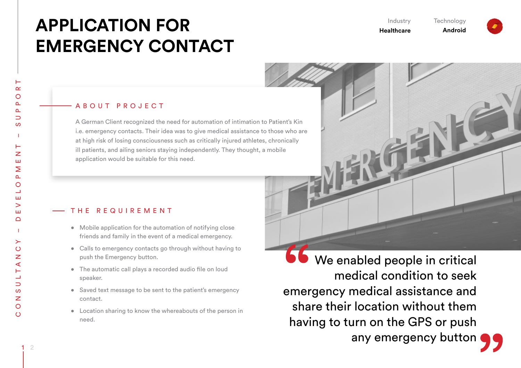# **APPLICATION FOR EMERGENCY CONTACT**

Industry **Healthcare** 

**Technology Android**

## A B O U T P R O J E C T

A German Client recognized the need for automation of intimation to Patient's Kin i.e. emergency contacts. Their idea was to give medical assistance to those who are at high risk of losing consciousness such as critically injured athletes, chronically ill patients, and ailing seniors staying independently. They thought, a mobile application would be suitable for this need.

#### T H E R E Q U I R E M E N T

- Mobile application for the automation of notifying close friends and family in the event of a medical emergency.
- Calls to emergency contacts go through without having to push the Emergency button.
- The automatic call plays a recorded audio file on loud speaker.
- Saved text message to be sent to the patient's emergency contact.
- Location sharing to know the whereabouts of the person in need.

**66** We enabled people in critical medical condition to seek emergency medical assistance and share their location without them having to turn on the GPS or push any emergency button